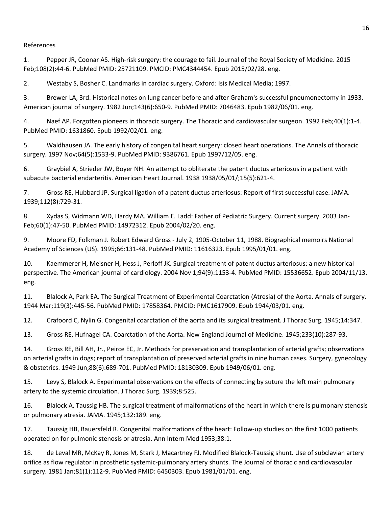## References

1. Pepper JR, Coonar AS. High-risk surgery: the courage to fail. Journal of the Royal Society of Medicine. 2015 Feb;108(2):44-6. PubMed PMID: 25721109. PMCID: PMC4344454. Epub 2015/02/28. eng.

2. Westaby S, Bosher C. Landmarks in cardiac surgery. Oxford: Isis Medical Media; 1997.

3. Brewer LA, 3rd. Historical notes on lung cancer before and after Graham's successful pneumonectomy in 1933. American journal of surgery. 1982 Jun;143(6):650-9. PubMed PMID: 7046483. Epub 1982/06/01. eng.

4. Naef AP. Forgotten pioneers in thoracic surgery. The Thoracic and cardiovascular surgeon. 1992 Feb;40(1):1-4. PubMed PMID: 1631860. Epub 1992/02/01. eng.

5. Waldhausen JA. The early history of congenital heart surgery: closed heart operations. The Annals of thoracic surgery. 1997 Nov;64(5):1533-9. PubMed PMID: 9386761. Epub 1997/12/05. eng.

6. Graybiel A, Strieder JW, Boyer NH. An attempt to obliterate the patent ductus arteriosus in a patient with subacute bacterial endarteritis. American Heart Journal. 1938 1938/05/01/;15(5):621-4.

7. Gross RE, Hubbard JP. Surgical ligation of a patent ductus arteriosus: Report of first successful case. JAMA. 1939;112(8):729-31.

8. Xydas S, Widmann WD, Hardy MA. William E. Ladd: Father of Pediatric Surgery. Current surgery. 2003 Jan-Feb;60(1):47-50. PubMed PMID: 14972312. Epub 2004/02/20. eng.

9. Moore FD, Folkman J. Robert Edward Gross - July 2, 1905-October 11, 1988. Biographical memoirs National Academy of Sciences (US). 1995;66:131-48. PubMed PMID: 11616323. Epub 1995/01/01. eng.

10. Kaemmerer H, Meisner H, Hess J, Perloff JK. Surgical treatment of patent ductus arteriosus: a new historical perspective. The American journal of cardiology. 2004 Nov 1;94(9):1153-4. PubMed PMID: 15536652. Epub 2004/11/13. eng.

11. Blalock A, Park EA. The Surgical Treatment of Experimental Coarctation (Atresia) of the Aorta. Annals of surgery. 1944 Mar;119(3):445-56. PubMed PMID: 17858364. PMCID: PMC1617909. Epub 1944/03/01. eng.

12. Crafoord C, Nylin G. Congenital coarctation of the aorta and its surgical treatment. J Thorac Surg. 1945;14:347.

13. Gross RE, Hufnagel CA. Coarctation of the Aorta. New England Journal of Medicine. 1945;233(10):287-93.

14. Gross RE, Bill AH, Jr., Peirce EC, Jr. Methods for preservation and transplantation of arterial grafts; observations on arterial grafts in dogs; report of transplantation of preserved arterial grafts in nine human cases. Surgery, gynecology & obstetrics. 1949 Jun;88(6):689-701. PubMed PMID: 18130309. Epub 1949/06/01. eng.

15. Levy S, Blalock A. Experimental observations on the effects of connecting by suture the left main pulmonary artery to the systemic circulation. J Thorac Surg. 1939;8:525.

16. Blalock A, Taussig HB. The surgical treatment of malformations of the heart in which there is pulmonary stenosis or pulmonary atresia. JAMA. 1945;132:189. eng.

17. Taussig HB, Bauersfeld R. Congenital malformations of the heart: Follow-up studies on the first 1000 patients operated on for pulmonic stenosis or atresia. Ann Intern Med 1953;38:1.

18. de Leval MR, McKay R, Jones M, Stark J, Macartney FJ. Modified Blalock-Taussig shunt. Use of subclavian artery orifice as flow regulator in prosthetic systemic-pulmonary artery shunts. The Journal of thoracic and cardiovascular surgery. 1981 Jan;81(1):112-9. PubMed PMID: 6450303. Epub 1981/01/01. eng.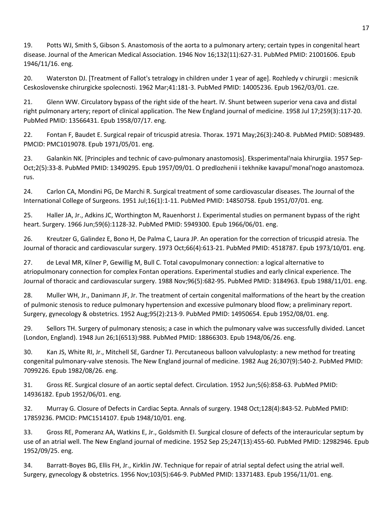19. Potts WJ, Smith S, Gibson S. Anastomosis of the aorta to a pulmonary artery; certain types in congenital heart disease. Journal of the American Medical Association. 1946 Nov 16;132(11):627-31. PubMed PMID: 21001606. Epub 1946/11/16. eng.

20. Waterston DJ. [Treatment of Fallot's tetralogy in children under 1 year of age]. Rozhledy v chirurgii : mesicnik Ceskoslovenske chirurgicke spolecnosti. 1962 Mar;41:181-3. PubMed PMID: 14005236. Epub 1962/03/01. cze.

21. Glenn WW. Circulatory bypass of the right side of the heart. IV. Shunt between superior vena cava and distal right pulmonary artery; report of clinical application. The New England journal of medicine. 1958 Jul 17;259(3):117-20. PubMed PMID: 13566431. Epub 1958/07/17. eng.

22. Fontan F, Baudet E. Surgical repair of tricuspid atresia. Thorax. 1971 May;26(3):240-8. PubMed PMID: 5089489. PMCID: PMC1019078. Epub 1971/05/01. eng.

23. Galankin NK. [Principles and technic of cavo-pulmonary anastomosis]. Eksperimental'naia khirurgiia. 1957 Sep-Oct;2(5):33-8. PubMed PMID: 13490295. Epub 1957/09/01. O predlozhenii i tekhnike kavapul'monal'nogo anastomoza. rus.

24. Carlon CA, Mondini PG, De Marchi R. Surgical treatment of some cardiovascular diseases. The Journal of the International College of Surgeons. 1951 Jul;16(1):1-11. PubMed PMID: 14850758. Epub 1951/07/01. eng.

25. Haller JA, Jr., Adkins JC, Worthington M, Rauenhorst J. Experimental studies on permanent bypass of the right heart. Surgery. 1966 Jun;59(6):1128-32. PubMed PMID: 5949300. Epub 1966/06/01. eng.

26. Kreutzer G, Galindez E, Bono H, De Palma C, Laura JP. An operation for the correction of tricuspid atresia. The Journal of thoracic and cardiovascular surgery. 1973 Oct;66(4):613-21. PubMed PMID: 4518787. Epub 1973/10/01. eng.

27. de Leval MR, Kilner P, Gewillig M, Bull C. Total cavopulmonary connection: a logical alternative to atriopulmonary connection for complex Fontan operations. Experimental studies and early clinical experience. The Journal of thoracic and cardiovascular surgery. 1988 Nov;96(5):682-95. PubMed PMID: 3184963. Epub 1988/11/01. eng.

28. Muller WH, Jr., Danimann JF, Jr. The treatment of certain congenital malformations of the heart by the creation of pulmonic stenosis to reduce pulmonary hypertension and excessive pulmonary blood flow; a preliminary report. Surgery, gynecology & obstetrics. 1952 Aug;95(2):213-9. PubMed PMID: 14950654. Epub 1952/08/01. eng.

29. Sellors TH. Surgery of pulmonary stenosis; a case in which the pulmonary valve was successfully divided. Lancet (London, England). 1948 Jun 26;1(6513):988. PubMed PMID: 18866303. Epub 1948/06/26. eng.

30. Kan JS, White RI, Jr., Mitchell SE, Gardner TJ. Percutaneous balloon valvuloplasty: a new method for treating congenital pulmonary-valve stenosis. The New England journal of medicine. 1982 Aug 26;307(9):540-2. PubMed PMID: 7099226. Epub 1982/08/26. eng.

31. Gross RE. Surgical closure of an aortic septal defect. Circulation. 1952 Jun;5(6):858-63. PubMed PMID: 14936182. Epub 1952/06/01. eng.

32. Murray G. Closure of Defects in Cardiac Septa. Annals of surgery. 1948 Oct;128(4):843-52. PubMed PMID: 17859236. PMCID: PMC1514107. Epub 1948/10/01. eng.

33. Gross RE, Pomeranz AA, Watkins E, Jr., Goldsmith EI. Surgical closure of defects of the interauricular septum by use of an atrial well. The New England journal of medicine. 1952 Sep 25;247(13):455-60. PubMed PMID: 12982946. Epub 1952/09/25. eng.

34. Barratt-Boyes BG, Ellis FH, Jr., Kirklin JW. Technique for repair of atrial septal defect using the atrial well. Surgery, gynecology & obstetrics. 1956 Nov;103(5):646-9. PubMed PMID: 13371483. Epub 1956/11/01. eng.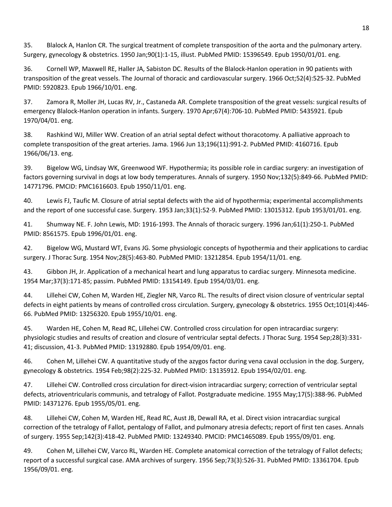35. Blalock A, Hanlon CR. The surgical treatment of complete transposition of the aorta and the pulmonary artery. Surgery, gynecology & obstetrics. 1950 Jan;90(1):1-15, illust. PubMed PMID: 15396549. Epub 1950/01/01. eng.

36. Cornell WP, Maxwell RE, Haller JA, Sabiston DC. Results of the Blalock-Hanlon operation in 90 patients with transposition of the great vessels. The Journal of thoracic and cardiovascular surgery. 1966 Oct;52(4):525-32. PubMed PMID: 5920823. Epub 1966/10/01. eng.

37. Zamora R, Moller JH, Lucas RV, Jr., Castaneda AR. Complete transposition of the great vessels: surgical results of emergency Blalock-Hanlon operation in infants. Surgery. 1970 Apr;67(4):706-10. PubMed PMID: 5435921. Epub 1970/04/01. eng.

38. Rashkind WJ, Miller WW. Creation of an atrial septal defect without thoracotomy. A palliative approach to complete transposition of the great arteries. Jama. 1966 Jun 13;196(11):991-2. PubMed PMID: 4160716. Epub 1966/06/13. eng.

39. Bigelow WG, Lindsay WK, Greenwood WF. Hypothermia; its possible role in cardiac surgery: an investigation of factors governing survival in dogs at low body temperatures. Annals of surgery. 1950 Nov;132(5):849-66. PubMed PMID: 14771796. PMCID: PMC1616603. Epub 1950/11/01. eng.

40. Lewis FJ, Taufic M. Closure of atrial septal defects with the aid of hypothermia; experimental accomplishments and the report of one successful case. Surgery. 1953 Jan;33(1):52-9. PubMed PMID: 13015312. Epub 1953/01/01. eng.

41. Shumway NE. F. John Lewis, MD: 1916-1993. The Annals of thoracic surgery. 1996 Jan;61(1):250-1. PubMed PMID: 8561575. Epub 1996/01/01. eng.

42. Bigelow WG, Mustard WT, Evans JG. Some physiologic concepts of hypothermia and their applications to cardiac surgery. J Thorac Surg. 1954 Nov;28(5):463-80. PubMed PMID: 13212854. Epub 1954/11/01. eng.

43. Gibbon JH, Jr. Application of a mechanical heart and lung apparatus to cardiac surgery. Minnesota medicine. 1954 Mar;37(3):171-85; passim. PubMed PMID: 13154149. Epub 1954/03/01. eng.

44. Lillehei CW, Cohen M, Warden HE, Ziegler NR, Varco RL. The results of direct vision closure of ventricular septal defects in eight patients by means of controlled cross circulation. Surgery, gynecology & obstetrics. 1955 Oct;101(4):446- 66. PubMed PMID: 13256320. Epub 1955/10/01. eng.

45. Warden HE, Cohen M, Read RC, Lillehei CW. Controlled cross circulation for open intracardiac surgery: physiologic studies and results of creation and closure of ventricular septal defects. J Thorac Surg. 1954 Sep;28(3):331- 41; discussion, 41-3. PubMed PMID: 13192880. Epub 1954/09/01. eng.

46. Cohen M, Lillehei CW. A quantitative study of the azygos factor during vena caval occlusion in the dog. Surgery, gynecology & obstetrics. 1954 Feb;98(2):225-32. PubMed PMID: 13135912. Epub 1954/02/01. eng.

47. Lillehei CW. Controlled cross circulation for direct-vision intracardiac surgery; correction of ventricular septal defects, atrioventricularis communis, and tetralogy of Fallot. Postgraduate medicine. 1955 May;17(5):388-96. PubMed PMID: 14371276. Epub 1955/05/01. eng.

48. Lillehei CW, Cohen M, Warden HE, Read RC, Aust JB, Dewall RA, et al. Direct vision intracardiac surgical correction of the tetralogy of Fallot, pentalogy of Fallot, and pulmonary atresia defects; report of first ten cases. Annals of surgery. 1955 Sep;142(3):418-42. PubMed PMID: 13249340. PMCID: PMC1465089. Epub 1955/09/01. eng.

49. Cohen M, Lillehei CW, Varco RL, Warden HE. Complete anatomical correction of the tetralogy of Fallot defects; report of a successful surgical case. AMA archives of surgery. 1956 Sep;73(3):526-31. PubMed PMID: 13361704. Epub 1956/09/01. eng.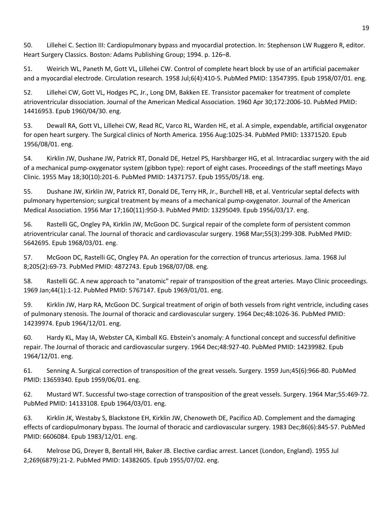50. Lillehei C. Section III: Cardiopulmonary bypass and myocardial protection. In: Stephenson LW Ruggero R, editor. Heart Surgery Classics. Boston: Adams Publishing Group; 1994. p. 126–8.

51. Weirich WL, Paneth M, Gott VL, Lillehei CW. Control of complete heart block by use of an artificial pacemaker and a myocardial electrode. Circulation research. 1958 Jul;6(4):410-5. PubMed PMID: 13547395. Epub 1958/07/01. eng.

52. Lillehei CW, Gott VL, Hodges PC, Jr., Long DM, Bakken EE. Transistor pacemaker for treatment of complete atrioventricular dissociation. Journal of the American Medical Association. 1960 Apr 30;172:2006-10. PubMed PMID: 14416953. Epub 1960/04/30. eng.

53. Dewall RA, Gott VL, Lillehei CW, Read RC, Varco RL, Warden HE, et al. A simple, expendable, artificial oxygenator for open heart surgery. The Surgical clinics of North America. 1956 Aug:1025-34. PubMed PMID: 13371520. Epub 1956/08/01. eng.

54. Kirklin JW, Dushane JW, Patrick RT, Donald DE, Hetzel PS, Harshbarger HG, et al. Intracardiac surgery with the aid of a mechanical pump-oxygenator system (gibbon type): report of eight cases. Proceedings of the staff meetings Mayo Clinic. 1955 May 18;30(10):201-6. PubMed PMID: 14371757. Epub 1955/05/18. eng.

55. Dushane JW, Kirklin JW, Patrick RT, Donald DE, Terry HR, Jr., Burchell HB, et al. Ventricular septal defects with pulmonary hypertension; surgical treatment by means of a mechanical pump-oxygenator. Journal of the American Medical Association. 1956 Mar 17;160(11):950-3. PubMed PMID: 13295049. Epub 1956/03/17. eng.

56. Rastelli GC, Ongley PA, Kirklin JW, McGoon DC. Surgical repair of the complete form of persistent common atrioventricular canal. The Journal of thoracic and cardiovascular surgery. 1968 Mar;55(3):299-308. PubMed PMID: 5642695. Epub 1968/03/01. eng.

57. McGoon DC, Rastelli GC, Ongley PA. An operation for the correction of truncus arteriosus. Jama. 1968 Jul 8;205(2):69-73. PubMed PMID: 4872743. Epub 1968/07/08. eng.

58. Rastelli GC. A new approach to "anatomic" repair of transposition of the great arteries. Mayo Clinic proceedings. 1969 Jan;44(1):1-12. PubMed PMID: 5767147. Epub 1969/01/01. eng.

59. Kirklin JW, Harp RA, McGoon DC. Surgical treatment of origin of both vessels from right ventricle, including cases of pulmonary stenosis. The Journal of thoracic and cardiovascular surgery. 1964 Dec;48:1026-36. PubMed PMID: 14239974. Epub 1964/12/01. eng.

60. Hardy KL, May IA, Webster CA, Kimball KG. Ebstein's anomaly: A functional concept and successful definitive repair. The Journal of thoracic and cardiovascular surgery. 1964 Dec;48:927-40. PubMed PMID: 14239982. Epub 1964/12/01. eng.

61. Senning A. Surgical correction of transposition of the great vessels. Surgery. 1959 Jun;45(6):966-80. PubMed PMID: 13659340. Epub 1959/06/01. eng.

62. Mustard WT. Successful two-stage correction of transposition of the great vessels. Surgery. 1964 Mar;55:469-72. PubMed PMID: 14133108. Epub 1964/03/01. eng.

63. Kirklin JK, Westaby S, Blackstone EH, Kirklin JW, Chenoweth DE, Pacifico AD. Complement and the damaging effects of cardiopulmonary bypass. The Journal of thoracic and cardiovascular surgery. 1983 Dec;86(6):845-57. PubMed PMID: 6606084. Epub 1983/12/01. eng.

64. Melrose DG, Dreyer B, Bentall HH, Baker JB. Elective cardiac arrest. Lancet (London, England). 1955 Jul 2;269(6879):21-2. PubMed PMID: 14382605. Epub 1955/07/02. eng.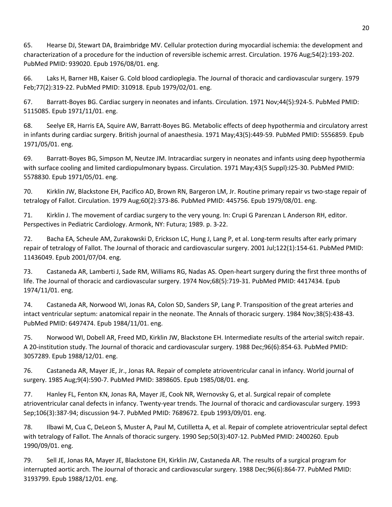65. Hearse DJ, Stewart DA, Braimbridge MV. Cellular protection during myocardial ischemia: the development and characterization of a procedure for the induction of reversible ischemic arrest. Circulation. 1976 Aug;54(2):193-202. PubMed PMID: 939020. Epub 1976/08/01. eng.

66. Laks H, Barner HB, Kaiser G. Cold blood cardioplegia. The Journal of thoracic and cardiovascular surgery. 1979 Feb;77(2):319-22. PubMed PMID: 310918. Epub 1979/02/01. eng.

67. Barratt-Boyes BG. Cardiac surgery in neonates and infants. Circulation. 1971 Nov;44(5):924-5. PubMed PMID: 5115085. Epub 1971/11/01. eng.

68. Seelye ER, Harris EA, Squire AW, Barratt-Boyes BG. Metabolic effects of deep hypothermia and circulatory arrest in infants during cardiac surgery. British journal of anaesthesia. 1971 May;43(5):449-59. PubMed PMID: 5556859. Epub 1971/05/01. eng.

69. Barratt-Boyes BG, Simpson M, Neutze JM. Intracardiac surgery in neonates and infants using deep hypothermia with surface cooling and limited cardiopulmonary bypass. Circulation. 1971 May;43(5 Suppl):I25-30. PubMed PMID: 5578830. Epub 1971/05/01. eng.

70. Kirklin JW, Blackstone EH, Pacifico AD, Brown RN, Bargeron LM, Jr. Routine primary repair vs two-stage repair of tetralogy of Fallot. Circulation. 1979 Aug;60(2):373-86. PubMed PMID: 445756. Epub 1979/08/01. eng.

71. Kirklin J. The movement of cardiac surgery to the very young. In: Crupi G Parenzan L Anderson RH, editor. Perspectives in Pediatric Cardiology. Armonk, NY: Futura; 1989. p. 3-22.

72. Bacha EA, Scheule AM, Zurakowski D, Erickson LC, Hung J, Lang P, et al. Long-term results after early primary repair of tetralogy of Fallot. The Journal of thoracic and cardiovascular surgery. 2001 Jul;122(1):154-61. PubMed PMID: 11436049. Epub 2001/07/04. eng.

73. Castaneda AR, Lamberti J, Sade RM, Williams RG, Nadas AS. Open-heart surgery during the first three months of life. The Journal of thoracic and cardiovascular surgery. 1974 Nov;68(5):719-31. PubMed PMID: 4417434. Epub 1974/11/01. eng.

74. Castaneda AR, Norwood WI, Jonas RA, Colon SD, Sanders SP, Lang P. Transposition of the great arteries and intact ventricular septum: anatomical repair in the neonate. The Annals of thoracic surgery. 1984 Nov;38(5):438-43. PubMed PMID: 6497474. Epub 1984/11/01. eng.

75. Norwood WI, Dobell AR, Freed MD, Kirklin JW, Blackstone EH. Intermediate results of the arterial switch repair. A 20-institution study. The Journal of thoracic and cardiovascular surgery. 1988 Dec;96(6):854-63. PubMed PMID: 3057289. Epub 1988/12/01. eng.

76. Castaneda AR, Mayer JE, Jr., Jonas RA. Repair of complete atrioventricular canal in infancy. World journal of surgery. 1985 Aug;9(4):590-7. PubMed PMID: 3898605. Epub 1985/08/01. eng.

77. Hanley FL, Fenton KN, Jonas RA, Mayer JE, Cook NR, Wernovsky G, et al. Surgical repair of complete atrioventricular canal defects in infancy. Twenty-year trends. The Journal of thoracic and cardiovascular surgery. 1993 Sep;106(3):387-94; discussion 94-7. PubMed PMID: 7689672. Epub 1993/09/01. eng.

78. Ilbawi M, Cua C, DeLeon S, Muster A, Paul M, Cutilletta A, et al. Repair of complete atrioventricular septal defect with tetralogy of Fallot. The Annals of thoracic surgery. 1990 Sep;50(3):407-12. PubMed PMID: 2400260. Epub 1990/09/01. eng.

79. Sell JE, Jonas RA, Mayer JE, Blackstone EH, Kirklin JW, Castaneda AR. The results of a surgical program for interrupted aortic arch. The Journal of thoracic and cardiovascular surgery. 1988 Dec;96(6):864-77. PubMed PMID: 3193799. Epub 1988/12/01. eng.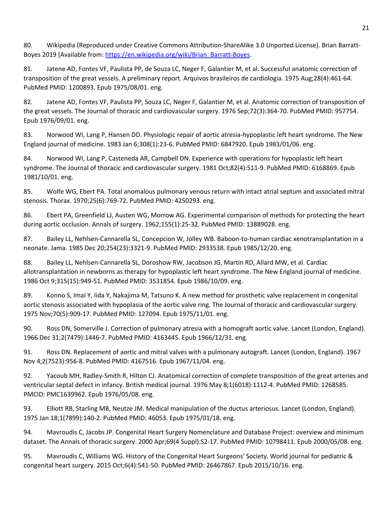80. Wikipedia (Reproduced under Creative Commons Attribution-ShareAlike 3.0 Unported License). Brian Barratt-Boyes 2019 [Available from: https://en.wikipedia.org/wiki/Brian\_Barratt-Boyes.

81. Jatene AD, Fontes VF, Paulista PP, de Souza LC, Neger F, Galantier M, et al. Successful anatomic correction of transposition of the great vessels. A preliminary report. Arquivos brasileiros de cardiologia. 1975 Aug;28(4):461-64. PubMed PMID: 1200893. Epub 1975/08/01. eng.

82. Jatene AD, Fontes VF, Paulista PP, Souza LC, Neger F, Galantier M, et al. Anatomic correction of transposition of the great vessels. The Journal of thoracic and cardiovascular surgery. 1976 Sep;72(3):364-70. PubMed PMID: 957754. Epub 1976/09/01. eng.

83. Norwood WI, Lang P, Hansen DD. Physiologic repair of aortic atresia-hypoplastic left heart syndrome. The New England journal of medicine. 1983 Jan 6;308(1):23-6. PubMed PMID: 6847920. Epub 1983/01/06. eng.

84. Norwood WI, Lang P, Casteneda AR, Campbell DN. Experience with operations for hypoplastic left heart syndrome. The Journal of thoracic and cardiovascular surgery. 1981 Oct;82(4):511-9. PubMed PMID: 6168869. Epub 1981/10/01. eng.

85. Wolfe WG, Ebert PA. Total anomalous pulmonary venous return with intact atrial septum and associated mitral stenosis. Thorax. 1970;25(6):769-72. PubMed PMID: 4250293. eng.

86. Ebert PA, Greenfield LJ, Austen WG, Morrow AG. Experimental comparison of methods for protecting the heart during aortic occlusion. Annals of surgery. 1962;155(1):25-32. PubMed PMID: 13889028. eng.

87. Bailey LL, Nehlsen-Cannarella SL, Concepcion W, Jolley WB. Baboon-to-human cardiac xenotransplantation in a neonate. Jama. 1985 Dec 20;254(23):3321-9. PubMed PMID: 2933538. Epub 1985/12/20. eng.

88. Bailey LL, Nehlsen-Cannarella SL, Doroshow RW, Jacobson JG, Martin RD, Allard MW, et al. Cardiac allotransplantation in newborns as therapy for hypoplastic left heart syndrome. The New England journal of medicine. 1986 Oct 9;315(15):949-51. PubMed PMID: 3531854. Epub 1986/10/09. eng.

89. Konno S, Imai Y, Iida Y, Nakajima M, Tatsuno K. A new method for prosthetic valve replacement in congenital aortic stenosis associated with hypoplasia of the aortic valve ring. The Journal of thoracic and cardiovascular surgery. 1975 Nov;70(5):909-17. PubMed PMID: 127094. Epub 1975/11/01. eng.

90. Ross DN, Somerville J. Correction of pulmonary atresia with a homograft aortic valve. Lancet (London, England). 1966 Dec 31;2(7479):1446-7. PubMed PMID: 4163445. Epub 1966/12/31. eng.

91. Ross DN. Replacement of aortic and mitral valves with a pulmonary autograft. Lancet (London, England). 1967 Nov 4;2(7523):956-8. PubMed PMID: 4167516. Epub 1967/11/04. eng.

92. Yacoub MH, Radley-Smith R, Hilton CJ. Anatomical correction of complete transposition of the great arteries and ventricular septal defect in infancy. British medical journal. 1976 May 8;1(6018):1112-4. PubMed PMID: 1268585. PMCID: PMC1639962. Epub 1976/05/08. eng.

93. Elliott RB, Starling MB, Neutze JM. Medical manipulation of the ductus arteriosus. Lancet (London, England). 1975 Jan 18;1(7899):140-2. PubMed PMID: 46053. Epub 1975/01/18. eng.

94. Mavroudis C, Jacobs JP. Congenital Heart Surgery Nomenclature and Database Project: overview and minimum dataset. The Annals of thoracic surgery. 2000 Apr;69(4 Suppl):S2-17. PubMed PMID: 10798411. Epub 2000/05/08. eng.

95. Mavroudis C, Williams WG. History of the Congenital Heart Surgeons' Society. World journal for pediatric & congenital heart surgery. 2015 Oct;6(4):541-50. PubMed PMID: 26467867. Epub 2015/10/16. eng.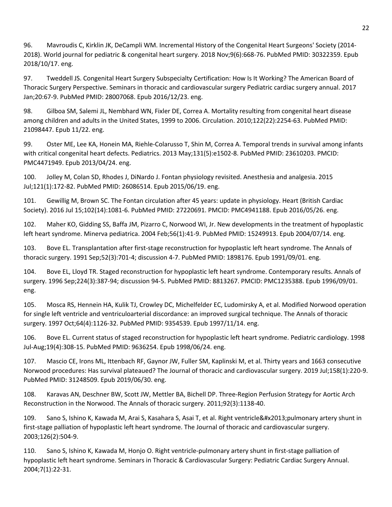96. Mavroudis C, Kirklin JK, DeCampli WM. Incremental History of the Congenital Heart Surgeons' Society (2014- 2018). World journal for pediatric & congenital heart surgery. 2018 Nov;9(6):668-76. PubMed PMID: 30322359. Epub 2018/10/17. eng.

97. Tweddell JS. Congenital Heart Surgery Subspecialty Certification: How Is It Working? The American Board of Thoracic Surgery Perspective. Seminars in thoracic and cardiovascular surgery Pediatric cardiac surgery annual. 2017 Jan;20:67-9. PubMed PMID: 28007068. Epub 2016/12/23. eng.

98. Gilboa SM, Salemi JL, Nembhard WN, Fixler DE, Correa A. Mortality resulting from congenital heart disease among children and adults in the United States, 1999 to 2006. Circulation. 2010;122(22):2254-63. PubMed PMID: 21098447. Epub 11/22. eng.

99. Oster ME, Lee KA, Honein MA, Riehle-Colarusso T, Shin M, Correa A. Temporal trends in survival among infants with critical congenital heart defects. Pediatrics. 2013 May;131(5):e1502-8. PubMed PMID: 23610203. PMCID: PMC4471949. Epub 2013/04/24. eng.

100. Jolley M, Colan SD, Rhodes J, DiNardo J. Fontan physiology revisited. Anesthesia and analgesia. 2015 Jul;121(1):172-82. PubMed PMID: 26086514. Epub 2015/06/19. eng.

101. Gewillig M, Brown SC. The Fontan circulation after 45 years: update in physiology. Heart (British Cardiac Society). 2016 Jul 15;102(14):1081-6. PubMed PMID: 27220691. PMCID: PMC4941188. Epub 2016/05/26. eng.

102. Maher KO, Gidding SS, Baffa JM, Pizarro C, Norwood WI, Jr. New developments in the treatment of hypoplastic left heart syndrome. Minerva pediatrica. 2004 Feb;56(1):41-9. PubMed PMID: 15249913. Epub 2004/07/14. eng.

103. Bove EL. Transplantation after first-stage reconstruction for hypoplastic left heart syndrome. The Annals of thoracic surgery. 1991 Sep;52(3):701-4; discussion 4-7. PubMed PMID: 1898176. Epub 1991/09/01. eng.

104. Bove EL, Lloyd TR. Staged reconstruction for hypoplastic left heart syndrome. Contemporary results. Annals of surgery. 1996 Sep;224(3):387-94; discussion 94-5. PubMed PMID: 8813267. PMCID: PMC1235388. Epub 1996/09/01. eng.

105. Mosca RS, Hennein HA, Kulik TJ, Crowley DC, Michelfelder EC, Ludomirsky A, et al. Modified Norwood operation for single left ventricle and ventriculoarterial discordance: an improved surgical technique. The Annals of thoracic surgery. 1997 Oct;64(4):1126-32. PubMed PMID: 9354539. Epub 1997/11/14. eng.

106. Bove EL. Current status of staged reconstruction for hypoplastic left heart syndrome. Pediatric cardiology. 1998 Jul-Aug;19(4):308-15. PubMed PMID: 9636254. Epub 1998/06/24. eng.

107. Mascio CE, Irons ML, Ittenbach RF, Gaynor JW, Fuller SM, Kaplinski M, et al. Thirty years and 1663 consecutive Norwood procedures: Has survival plateaued? The Journal of thoracic and cardiovascular surgery. 2019 Jul;158(1):220-9. PubMed PMID: 31248509. Epub 2019/06/30. eng.

108. Karavas AN, Deschner BW, Scott JW, Mettler BA, Bichell DP. Three-Region Perfusion Strategy for Aortic Arch Reconstruction in the Norwood. The Annals of thoracic surgery. 2011;92(3):1138-40.

109. Sano S, Ishino K, Kawada M, Arai S, Kasahara S, Asai T, et al. Right ventricle–pulmonary artery shunt in first-stage palliation of hypoplastic left heart syndrome. The Journal of thoracic and cardiovascular surgery. 2003;126(2):504-9.

110. Sano S, Ishino K, Kawada M, Honjo O. Right ventricle-pulmonary artery shunt in first-stage palliation of hypoplastic left heart syndrome. Seminars in Thoracic & Cardiovascular Surgery: Pediatric Cardiac Surgery Annual. 2004;7(1):22-31.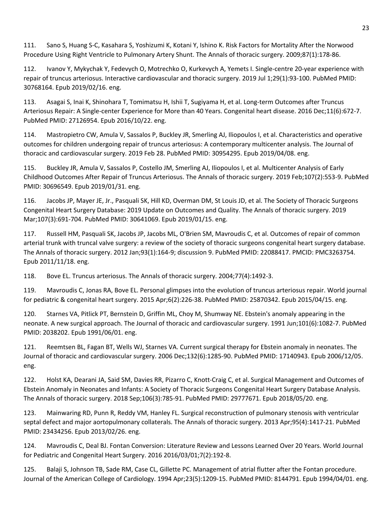111. Sano S, Huang S-C, Kasahara S, Yoshizumi K, Kotani Y, Ishino K. Risk Factors for Mortality After the Norwood Procedure Using Right Ventricle to Pulmonary Artery Shunt. The Annals of thoracic surgery. 2009;87(1):178-86.

112. Ivanov Y, Mykychak Y, Fedevych O, Motrechko O, Kurkevych A, Yemets I. Single-centre 20-year experience with repair of truncus arteriosus. Interactive cardiovascular and thoracic surgery. 2019 Jul 1;29(1):93-100. PubMed PMID: 30768164. Epub 2019/02/16. eng.

113. Asagai S, Inai K, Shinohara T, Tomimatsu H, Ishii T, Sugiyama H, et al. Long-term Outcomes after Truncus Arteriosus Repair: A Single-center Experience for More than 40 Years. Congenital heart disease. 2016 Dec;11(6):672-7. PubMed PMID: 27126954. Epub 2016/10/22. eng.

114. Mastropietro CW, Amula V, Sassalos P, Buckley JR, Smerling AJ, Iliopoulos I, et al. Characteristics and operative outcomes for children undergoing repair of truncus arteriosus: A contemporary multicenter analysis. The Journal of thoracic and cardiovascular surgery. 2019 Feb 28. PubMed PMID: 30954295. Epub 2019/04/08. eng.

115. Buckley JR, Amula V, Sassalos P, Costello JM, Smerling AJ, Iliopoulos I, et al. Multicenter Analysis of Early Childhood Outcomes After Repair of Truncus Arteriosus. The Annals of thoracic surgery. 2019 Feb;107(2):553-9. PubMed PMID: 30696549. Epub 2019/01/31. eng.

116. Jacobs JP, Mayer JE, Jr., Pasquali SK, Hill KD, Overman DM, St Louis JD, et al. The Society of Thoracic Surgeons Congenital Heart Surgery Database: 2019 Update on Outcomes and Quality. The Annals of thoracic surgery. 2019 Mar;107(3):691-704. PubMed PMID: 30641069. Epub 2019/01/15. eng.

117. Russell HM, Pasquali SK, Jacobs JP, Jacobs ML, O'Brien SM, Mavroudis C, et al. Outcomes of repair of common arterial trunk with truncal valve surgery: a review of the society of thoracic surgeons congenital heart surgery database. The Annals of thoracic surgery. 2012 Jan;93(1):164-9; discussion 9. PubMed PMID: 22088417. PMCID: PMC3263754. Epub 2011/11/18. eng.

118. Bove EL. Truncus arteriosus. The Annals of thoracic surgery. 2004;77(4):1492-3.

119. Mavroudis C, Jonas RA, Bove EL. Personal glimpses into the evolution of truncus arteriosus repair. World journal for pediatric & congenital heart surgery. 2015 Apr;6(2):226-38. PubMed PMID: 25870342. Epub 2015/04/15. eng.

120. Starnes VA, Pitlick PT, Bernstein D, Griffin ML, Choy M, Shumway NE. Ebstein's anomaly appearing in the neonate. A new surgical approach. The Journal of thoracic and cardiovascular surgery. 1991 Jun;101(6):1082-7. PubMed PMID: 2038202. Epub 1991/06/01. eng.

121. Reemtsen BL, Fagan BT, Wells WJ, Starnes VA. Current surgical therapy for Ebstein anomaly in neonates. The Journal of thoracic and cardiovascular surgery. 2006 Dec;132(6):1285-90. PubMed PMID: 17140943. Epub 2006/12/05. eng.

122. Holst KA, Dearani JA, Said SM, Davies RR, Pizarro C, Knott-Craig C, et al. Surgical Management and Outcomes of Ebstein Anomaly in Neonates and Infants: A Society of Thoracic Surgeons Congenital Heart Surgery Database Analysis. The Annals of thoracic surgery. 2018 Sep;106(3):785-91. PubMed PMID: 29777671. Epub 2018/05/20. eng.

123. Mainwaring RD, Punn R, Reddy VM, Hanley FL. Surgical reconstruction of pulmonary stenosis with ventricular septal defect and major aortopulmonary collaterals. The Annals of thoracic surgery. 2013 Apr;95(4):1417-21. PubMed PMID: 23434256. Epub 2013/02/26. eng.

124. Mavroudis C, Deal BJ. Fontan Conversion: Literature Review and Lessons Learned Over 20 Years. World Journal for Pediatric and Congenital Heart Surgery. 2016 2016/03/01;7(2):192-8.

125. Balaji S, Johnson TB, Sade RM, Case CL, Gillette PC. Management of atrial flutter after the Fontan procedure. Journal of the American College of Cardiology. 1994 Apr;23(5):1209-15. PubMed PMID: 8144791. Epub 1994/04/01. eng.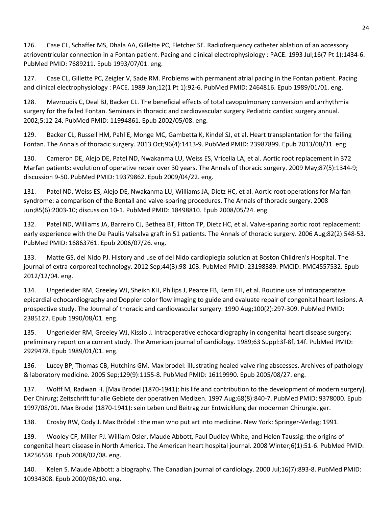126. Case CL, Schaffer MS, Dhala AA, Gillette PC, Fletcher SE. Radiofrequency catheter ablation of an accessory atrioventricular connection in a Fontan patient. Pacing and clinical electrophysiology : PACE. 1993 Jul;16(7 Pt 1):1434-6. PubMed PMID: 7689211. Epub 1993/07/01. eng.

127. Case CL, Gillette PC, Zeigler V, Sade RM. Problems with permanent atrial pacing in the Fontan patient. Pacing and clinical electrophysiology : PACE. 1989 Jan;12(1 Pt 1):92-6. PubMed PMID: 2464816. Epub 1989/01/01. eng.

128. Mavroudis C, Deal BJ, Backer CL. The beneficial effects of total cavopulmonary conversion and arrhythmia surgery for the failed Fontan. Seminars in thoracic and cardiovascular surgery Pediatric cardiac surgery annual. 2002;5:12-24. PubMed PMID: 11994861. Epub 2002/05/08. eng.

129. Backer CL, Russell HM, Pahl E, Monge MC, Gambetta K, Kindel SJ, et al. Heart transplantation for the failing Fontan. The Annals of thoracic surgery. 2013 Oct;96(4):1413-9. PubMed PMID: 23987899. Epub 2013/08/31. eng.

130. Cameron DE, Alejo DE, Patel ND, Nwakanma LU, Weiss ES, Vricella LA, et al. Aortic root replacement in 372 Marfan patients: evolution of operative repair over 30 years. The Annals of thoracic surgery. 2009 May;87(5):1344-9; discussion 9-50. PubMed PMID: 19379862. Epub 2009/04/22. eng.

131. Patel ND, Weiss ES, Alejo DE, Nwakanma LU, Williams JA, Dietz HC, et al. Aortic root operations for Marfan syndrome: a comparison of the Bentall and valve-sparing procedures. The Annals of thoracic surgery. 2008 Jun;85(6):2003-10; discussion 10-1. PubMed PMID: 18498810. Epub 2008/05/24. eng.

132. Patel ND, Williams JA, Barreiro CJ, Bethea BT, Fitton TP, Dietz HC, et al. Valve-sparing aortic root replacement: early experience with the De Paulis Valsalva graft in 51 patients. The Annals of thoracic surgery. 2006 Aug;82(2):548-53. PubMed PMID: 16863761. Epub 2006/07/26. eng.

133. Matte GS, del Nido PJ. History and use of del Nido cardioplegia solution at Boston Children's Hospital. The journal of extra-corporeal technology. 2012 Sep;44(3):98-103. PubMed PMID: 23198389. PMCID: PMC4557532. Epub 2012/12/04. eng.

134. Ungerleider RM, Greeley WJ, Sheikh KH, Philips J, Pearce FB, Kern FH, et al. Routine use of intraoperative epicardial echocardiography and Doppler color flow imaging to guide and evaluate repair of congenital heart lesions. A prospective study. The Journal of thoracic and cardiovascular surgery. 1990 Aug;100(2):297-309. PubMed PMID: 2385127. Epub 1990/08/01. eng.

135. Ungerleider RM, Greeley WJ, Kisslo J. Intraoperative echocardiography in congenital heart disease surgery: preliminary report on a current study. The American journal of cardiology. 1989;63 Suppl:3f-8f, 14f. PubMed PMID: 2929478. Epub 1989/01/01. eng.

136. Lucey BP, Thomas CB, Hutchins GM. Max brodel: illustrating healed valve ring abscesses. Archives of pathology & laboratory medicine. 2005 Sep;129(9):1155-8. PubMed PMID: 16119990. Epub 2005/08/27. eng.

137. Wolff M, Radwan H. [Max Brodel (1870-1941): his life and contribution to the development of modern surgery]. Der Chirurg; Zeitschrift fur alle Gebiete der operativen Medizen. 1997 Aug;68(8):840-7. PubMed PMID: 9378000. Epub 1997/08/01. Max Brodel (1870-1941): sein Leben und Beitrag zur Entwicklung der modernen Chirurgie. ger.

138. Crosby RW, Cody J. Max Brödel : the man who put art into medicine. New York: Springer-Verlag; 1991.

139. Wooley CF, Miller PJ. William Osler, Maude Abbott, Paul Dudley White, and Helen Taussig: the origins of congenital heart disease in North America. The American heart hospital journal. 2008 Winter;6(1):51-6. PubMed PMID: 18256558. Epub 2008/02/08. eng.

140. Kelen S. Maude Abbott: a biography. The Canadian journal of cardiology. 2000 Jul;16(7):893-8. PubMed PMID: 10934308. Epub 2000/08/10. eng.